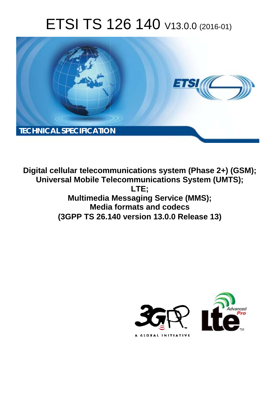# ETSI TS 126 140 V13.0.0 (2016-01)



**Digital cellular telecommunications system (Phase 2+) (GSM); Universal Mobile Tel elecommunications System ( (UMTS); Multimedia M ia Messaging Service (MMS); Media ia formats and codecs (3GPP TS 26.1 .140 version 13.0.0 Release 13 13) LTE;** 

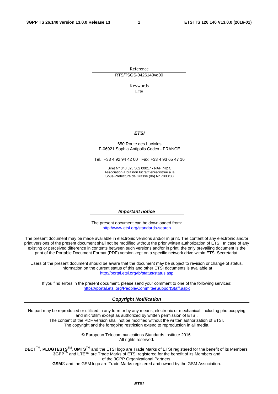Reference RTS/TSGS-0426140vd00

Keywords

 $\overline{1}$ 

#### *ETSI*

#### 650 Route des Lucioles F-06921 Sophia Antipolis Cedex - FRANCE

Tel.: +33 4 92 94 42 00 Fax: +33 4 93 65 47 16

Siret N° 348 623 562 00017 - NAF 742 C Association à but non lucratif enregistrée à la Sous-Préfecture de Grasse (06) N° 7803/88

#### *Important notice*

The present document can be downloaded from: <http://www.etsi.org/standards-search>

The present document may be made available in electronic versions and/or in print. The content of any electronic and/or print versions of the present document shall not be modified without the prior written authorization of ETSI. In case of any existing or perceived difference in contents between such versions and/or in print, the only prevailing document is the print of the Portable Document Format (PDF) version kept on a specific network drive within ETSI Secretariat.

Users of the present document should be aware that the document may be subject to revision or change of status. Information on the current status of this and other ETSI documents is available at <http://portal.etsi.org/tb/status/status.asp>

If you find errors in the present document, please send your comment to one of the following services: <https://portal.etsi.org/People/CommiteeSupportStaff.aspx>

#### *Copyright Notification*

No part may be reproduced or utilized in any form or by any means, electronic or mechanical, including photocopying and microfilm except as authorized by written permission of ETSI.

The content of the PDF version shall not be modified without the written authorization of ETSI. The copyright and the foregoing restriction extend to reproduction in all media.

> © European Telecommunications Standards Institute 2016. All rights reserved.

**DECT**TM, **PLUGTESTS**TM, **UMTS**TM and the ETSI logo are Trade Marks of ETSI registered for the benefit of its Members. **3GPP**TM and **LTE**™ are Trade Marks of ETSI registered for the benefit of its Members and of the 3GPP Organizational Partners.

**GSM**® and the GSM logo are Trade Marks registered and owned by the GSM Association.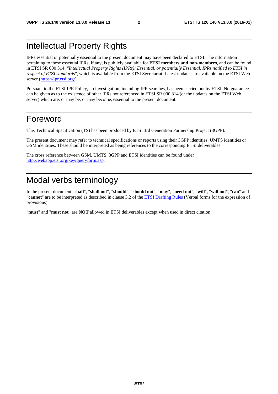### Intellectual Property Rights

IPRs essential or potentially essential to the present document may have been declared to ETSI. The information pertaining to these essential IPRs, if any, is publicly available for **ETSI members and non-members**, and can be found in ETSI SR 000 314: *"Intellectual Property Rights (IPRs); Essential, or potentially Essential, IPRs notified to ETSI in respect of ETSI standards"*, which is available from the ETSI Secretariat. Latest updates are available on the ETSI Web server [\(https://ipr.etsi.org/](https://ipr.etsi.org/)).

Pursuant to the ETSI IPR Policy, no investigation, including IPR searches, has been carried out by ETSI. No guarantee can be given as to the existence of other IPRs not referenced in ETSI SR 000 314 (or the updates on the ETSI Web server) which are, or may be, or may become, essential to the present document.

### Foreword

This Technical Specification (TS) has been produced by ETSI 3rd Generation Partnership Project (3GPP).

The present document may refer to technical specifications or reports using their 3GPP identities, UMTS identities or GSM identities. These should be interpreted as being references to the corresponding ETSI deliverables.

The cross reference between GSM, UMTS, 3GPP and ETSI identities can be found under [http://webapp.etsi.org/key/queryform.asp.](http://webapp.etsi.org/key/queryform.asp)

## Modal verbs terminology

In the present document "**shall**", "**shall not**", "**should**", "**should not**", "**may**", "**need not**", "**will**", "**will not**", "**can**" and "**cannot**" are to be interpreted as described in clause 3.2 of the [ETSI Drafting Rules](http://portal.etsi.org/Help/editHelp!/Howtostart/ETSIDraftingRules.aspx) (Verbal forms for the expression of provisions).

"**must**" and "**must not**" are **NOT** allowed in ETSI deliverables except when used in direct citation.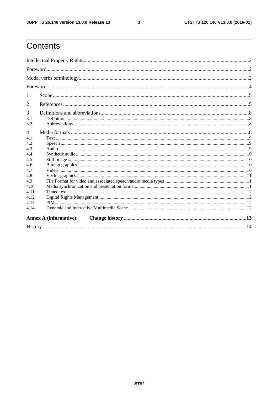$\mathbf{3}$ 

# Contents

| 1              |                               |  |  |  |  |
|----------------|-------------------------------|--|--|--|--|
| 2              |                               |  |  |  |  |
| 3              |                               |  |  |  |  |
| 3.1            |                               |  |  |  |  |
| 3.2            |                               |  |  |  |  |
| $\overline{4}$ |                               |  |  |  |  |
| 4.1            |                               |  |  |  |  |
| 4.2            |                               |  |  |  |  |
| 4.3            |                               |  |  |  |  |
| 4.4            |                               |  |  |  |  |
| 4.5            |                               |  |  |  |  |
| 4.6<br>4.7     |                               |  |  |  |  |
| 4.8            |                               |  |  |  |  |
| 4.9            |                               |  |  |  |  |
| 4.10           |                               |  |  |  |  |
| 4.11           |                               |  |  |  |  |
| 4.12           |                               |  |  |  |  |
| 4.13           |                               |  |  |  |  |
| 4.14           |                               |  |  |  |  |
|                | <b>Annex A (informative):</b> |  |  |  |  |
|                |                               |  |  |  |  |
|                |                               |  |  |  |  |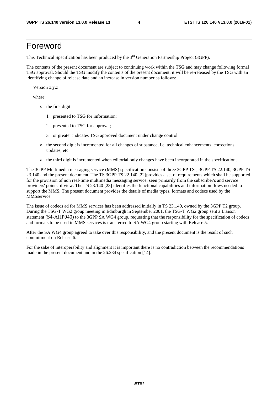### Foreword

This Technical Specification has been produced by the 3<sup>rd</sup> Generation Partnership Project (3GPP).

The contents of the present document are subject to continuing work within the TSG and may change following formal TSG approval. Should the TSG modify the contents of the present document, it will be re-released by the TSG with an identifying change of release date and an increase in version number as follows:

Version x.y.z

where:

- x the first digit:
	- 1 presented to TSG for information;
	- 2 presented to TSG for approval;
	- 3 or greater indicates TSG approved document under change control.
- y the second digit is incremented for all changes of substance, i.e. technical enhancements, corrections, updates, etc.
- z the third digit is incremented when editorial only changes have been incorporated in the specification;

The 3GPP Multimedia messaging service (MMS) specification consists of three 3GPP TSs; 3GPP TS 22.140, 3GPP TS 23.140 and the present document. The TS 3GPP TS 22.140 [22]provides a set of requirements which shall be supported for the provision of non real-time multimedia messaging service, seen primarily from the subscriber's and service providers' points of view. The TS 23.140 [23] identifies the functional capabilities and information flows needed to support the MMS. The present document provides the details of media types, formats and codecs used by the **MMSservice** 

The issue of codecs ad for MMS services has been addressed initially in TS 23.140, owned by the 3GPP T2 group. During the TSG-T WG2 group meeting in Edinburgh in September 2001, the TSG-T WG2 group sent a Liaison statement (S4-AHP040) to the 3GPP SA WG4 group, requesting that the responsibility for the specification of codecs and formats to be used in MMS services is transferred to SA WG4 group starting with Release 5.

After the SA WG4 group agreed to take over this responsibility, and the present document is the result of such commitment on Release 6.

For the sake of interoperability and alignment it is important there is no contradiction between the recommendations made in the present document and in the 26.234 specification [14].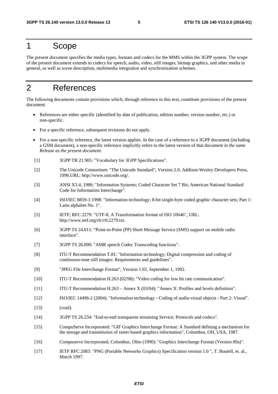### 1 Scope

The present document specifies the media types, formats and codecs for the MMS within the 3GPP system. The scope of the present document extends to codecs for speech, audio, video, still images, bitmap graphics, and other media in general, as well as scene description, multimedia integration and synchronization schemes.

### 2 References

The following documents contain provisions which, through reference in this text, constitute provisions of the present document.

- References are either specific (identified by date of publication, edition number, version number, etc.) or non-specific.
- For a specific reference, subsequent revisions do not apply.
- For a non-specific reference, the latest version applies. In the case of a reference to a 3GPP document (including a GSM document), a non-specific reference implicitly refers to the latest version of that document *in the same Release as the present document*.
- [1] 3GPP TR 21.905: "Vocabulary for 3GPP Specifications".
- [2] The Unicode Consortium: "The Unicode Standard", Version 2.0, Addison-Wesley Developers Press, 1996.URL: http://www.unicode.org/.
- [3] ANSI X3.4, 1986: "Information Systems; Coded Character Set 7 Bit; American National Standard Code for Information Interchange".
- [4] ISO/IEC 8859-1:1998: "Information technology; 8-bit single-byte coded graphic character sets; Part 1: Latin alphabet No. 1".
- [5] IETF; RFC 2279: "UTF-8, A Transformation format of ISO 10646", URL: http://www.ietf.org/rfc/rfc2279.txt.
- [6] 3GPP TS 24.011: "Point-to-Point (PP) Short Message Service (SMS) support on mobile radio interface".
- [7] 3GPP TS 26.090: "AMR speech Codec Transcoding functions".
- [8] ITU-T Recommendation T.81: "Information technology; Digital compression and coding of continuous-tone still images: Requirements and guidelines".
- [9] "JPEG File Interchange Format", Version 1.02, September 1, 1992.
- [10] ITU-T Recommendation H.263 (02/98): "Video coding for low bit rate communication".
- [11] ITU-T Recommendation H.263 Annex X (03/04): "Annex X: Profiles and levels definition".
- [12] ISO/IEC 14496-2 (2004): "Information technology Coding of audio-visual objects Part 2: Visual".
- [13] (void).
- [14] 3GPP TS 26.234: "End-to-end transparent streaming Service; Protocols and codecs".
- [15] CompuServe Incorporated: "GIF Graphics Interchange Format: A Standard defining a mechanism for the storage and transmission of raster-based graphics information", Columbus, OH, USA, 1987.
- [16] Compuserve Incorporated, Columbus, Ohio (1990): "Graphics Interchange Format (Version 89a)".
- [17] IETF RFC 2083: "PNG (Portable Networks Graphics) Specification version 1.0 ", T. Boutell, et. al., March 1997.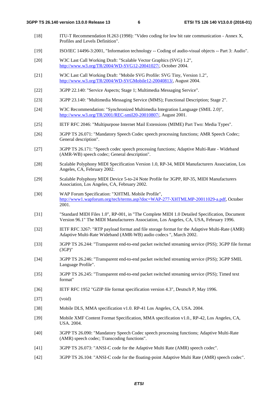- [18] ITU-T Recommendation H.263 (1998): "Video coding for low bit rate communication Annex X, Profiles and Levels Definition".
- [19] ISO/IEC 14496-3:2001, "Information technology -- Coding of audio-visual objects -- Part 3: Audio".
- [20] W3C Last Call Working Draft: "Scalable Vector Graphics (SVG) 1.2", [http://www.w3.org/TR/2004/WD-SVG12-20041027/,](http://www.w3.org/TR/2004/WD-SVG12-20041027/) October 2004.
- [21] W3C Last Call Working Draft: "Mobile SVG Profile: SVG Tiny, Version 1.2", [http://www.w3.org/TR/2004/WD-SVGMobile12-20040813/,](http://www.w3.org/TR/2004/WD-SVGMobile12-20040813/) August 2004.
- [22] 3GPP 22.140: "Service Aspects; Stage 1; Multimedia Messaging Service".
- [23] 3GPP 23.140: "Multimedia Messaging Service (MMS); Functional Description; Stage 2".
- [24] W3C Recommendation: "Synchronized Multimedia Integration Language (SMIL 2.0)", [http://www.w3.org/TR/2001/REC-smil20-20010807/,](http://www.w3.org/TR/2001/REC-smil20-20010807/) August 2001.
- [25] IETF RFC 2046: "Multipurpose Internet Mail Extensions (MIME) Part Two: Media Types".
- [26] 3GPP TS 26.071: "Mandatory Speech Codec speech processing functions; AMR Speech Codec; General description".
- [27] 3GPP TS 26.171: "Speech codec speech processing functions; Adaptive Multi-Rate Wideband (AMR-WB) speech codec; General description".
- [28] Scalable Polyphony MIDI Specification Version 1.0, RP-34, MIDI Manufacturers Association, Los Angeles, CA, February 2002.
- [29] Scalable Polyphony MIDI Device 5-to-24 Note Profile for 3GPP, RP-35, MIDI Manufacturers Association, Los Angeles, CA, February 2002.
- [30] WAP Forum Specification: "XHTML Mobile Profile", [http://www1.wapforum.org/tech/terms.asp?doc=WAP-277-XHTMLMP-20011029-a.pdf,](http://www1.wapforum.org/tech/terms.asp?doc=WAP-277-XHTMLMP-20011029-a.pdf) October 2001.
- [31] "Standard MIDI Files 1.0", RP-001, in "The Complete MIDI 1.0 Detailed Specification, Document Version 96.1" The MIDI Manufacturers Association, Los Angeles, CA, USA, February 1996.
- [32] IETF RFC 3267: "RTP payload format and file storage format for the Adaptive Multi-Rate (AMR) Adaptive Multi-Rate Wideband (AMR-WB) audio codecs ", March 2002.
- [33] 3GPP TS 26.244: "Transparent end-to-end packet switched streaming service (PSS); 3GPP file format (3GP)"
- [34] 3GPP TS 26.246: "Transparent end-to-end packet switched streaming service (PSS); 3GPP SMIL Language Profile".
- [35] 3GPP TS 26.245: "Transparent end-to-end packet switched streaming service (PSS); Timed text format"
- [36] IETF RFC 1952 "GZIP file format specification version 4.3", Deutsch P, May 1996.
- [37] (void)
- [38] Mobile DLS, MMA specification v1.0. RP-41 Los Angeles, CA, USA. 2004.
- [39] Mobile XMF Content Format Specification, MMA specification v1.0., RP-42, Los Angeles, CA, USA. 2004.
- [40] 3GPP TS 26.090: "Mandatory Speech Codec speech processing functions; Adaptive Multi-Rate (AMR) speech codec; Transcoding functions".
- [41] 3GPP TS 26.073: "ANSI-C code for the Adaptive Multi Rate (AMR) speech codec".
- [42] 3GPP TS 26.104: "ANSI-C code for the floating-point Adaptive Multi Rate (AMR) speech codec".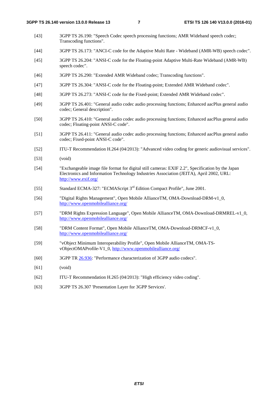- [43] 3GPP TS 26.190: "Speech Codec speech processing functions; AMR Wideband speech codec; Transcoding functions".
- [44] 3GPP TS 26.173: "ANCI-C code for the Adaptive Multi Rate Wideband (AMR-WB) speech codec".
- [45] 3GPP TS 26.204: "ANSI-C code for the Floating-point Adaptive Multi-Rate Wideband (AMR-WB) speech codec".
- [46] 3GPP TS 26.290: "Extended AMR Wideband codec; Transcoding functions".
- [47] 3GPP TS 26.304: "ANSI-C code for the Floating-point; Extended AMR Wideband codec".
- [48] 3GPP TS 26.273: "ANSI-C code for the Fixed-point; Extended AMR Wideband codec".
- [49] 3GPP TS 26.401: "General audio codec audio processing functions; Enhanced aacPlus general audio codec; General description".
- [50] 3GPP TS 26.410: "General audio codec audio processing functions; Enhanced aacPlus general audio codec; Floating-point ANSI-C code".
- [51] 3GPP TS 26.411: "General audio codec audio processing functions; Enhanced aacPlus general audio codec; Fixed-point ANSI-C code".
- [52] ITU-T Recommendation H.264 (04/2013): "Advanced video coding for generic audiovisual services".
- [53] (void)
- [54] "Exchangeable image file format for digital still cameras: EXIF 2.2", Specification by the Japan Electronics and Information Technology Industries Association (JEITA), April 2002, URL: <http://www.exif.org/>
- [55] Standard ECMA-327: "ECMAScript 3<sup>rd</sup> Edition Compact Profile", June 2001.
- [56] "Digital Rights Management", Open Mobile AllianceTM, OMA-Download-DRM-v1\_0, <http://www.openmobilealliance.org/>
- [57] "DRM Rights Expression Language", Open Mobile AllianceTM, OMA-Download-DRMREL-v1\_0, <http://www.openmobilealliance.org/>
- [58] "DRM Content Format", Open Mobile AllianceTM, OMA-Download-DRMCF-v1\_0, <http://www.openmobilealliance.org/>
- [59] "vObject Minimum Interoperability Profile", Open Mobile AllianceTM, OMA-TSvObjectOMAProfile-V1\_0,<http://www.openmobilealliance.org/>
- [60] 3GPP TR [26.936:](http://www.3gpp.org/ftp/Specs/html-info/26936.htm) "Performance characterization of 3GPP audio codecs".
- [61] (void)
- [62] ITU-T Recommendation H.265 (04/2013): "High efficiency video coding".
- [63] 3GPP TS 26.307 'Presentation Layer for 3GPP Services'.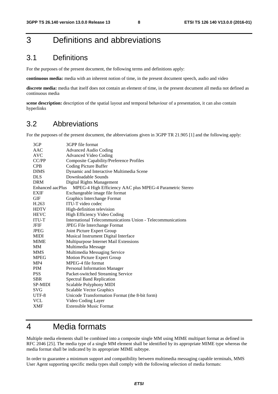## 3 Definitions and abbreviations

#### 3.1 Definitions

For the purposes of the present document, the following terms and definitions apply:

**continuous media:** media with an inherent notion of time, in the present document speech, audio and video

**discrete media:** media that itself does not contain an element of time, in the present document all media not defined as continuous media

**scene description:** description of the spatial layout and temporal behaviour of a presentation, it can also contain hyperlinks

#### 3.2 Abbreviations

For the purposes of the present document, the abbreviations given in 3GPP TR 21.905 [1] and the following apply:

| 3GP              | 3GPP file format                                            |
|------------------|-------------------------------------------------------------|
| AAC              | <b>Advanced Audio Coding</b>                                |
| AVC              | <b>Advanced Video Coding</b>                                |
| CC/PP            | <b>Composite Capability/Preference Profiles</b>             |
| <b>CPB</b>       | Coding Picture Buffer                                       |
| <b>DIMS</b>      | Dynamic and Interactive Multimedia Scene                    |
| <b>DLS</b>       | Downloadable Sounds                                         |
| <b>DRM</b>       | Digital Rights Management                                   |
| Enhanced aacPlus | MPEG-4 High Efficiency AAC plus MPEG-4 Parametric Stereo    |
| <b>EXIF</b>      | Exchangeable image file format                              |
| <b>GIF</b>       | Graphics Interchange Format                                 |
| H.263            | ITU-T video codec                                           |
| <b>HDTV</b>      | High-definition television                                  |
| <b>HEVC</b>      | High Efficiency Video Coding                                |
| <b>ITU-T</b>     | International Telecommunications Union - Telecommunications |
| JFIF             | <b>JPEG File Interchange Format</b>                         |
| <b>JPEG</b>      | Joint Picture Expert Group                                  |
| <b>MIDI</b>      | Musical Instrument Digital Interface                        |
| <b>MIME</b>      | Multipurpose Internet Mail Extensions                       |
| MM               | Multimedia Message                                          |
| <b>MMS</b>       | Multimedia Messaging Service                                |
| <b>MPEG</b>      | Motion Picture Expert Group                                 |
| MP4              | MPEG-4 file format                                          |
| <b>PIM</b>       | <b>Personal Information Manager</b>                         |
| <b>PSS</b>       | Packet-switched Streaming Service                           |
| <b>SBR</b>       | <b>Spectral Band Replication</b>                            |
| <b>SP-MIDI</b>   | Scalable Polyphony MIDI                                     |
| <b>SVG</b>       | <b>Scalable Vector Graphics</b>                             |
| UTF-8            | Unicode Transformation Format (the 8-bit form)              |
| <b>VCL</b>       | Video Coding Layer                                          |
| <b>XMF</b>       | <b>Extensible Music Format</b>                              |
|                  |                                                             |

### 4 Media formats

Multiple media elements shall be combined into a composite single MM using MIME multipart format as defined in RFC 2046 [25]. The media type of a single MM element shall be identified by its appropriate MIME type whereas the media format shall be indicated by its appropriate MIME subtype.

In order to guarantee a minimum support and compatibility between multimedia messaging capable terminals, MMS User Agent supporting specific media types shall comply with the following selection of media formats: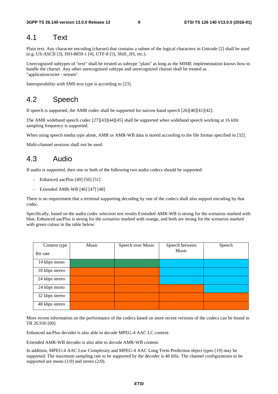#### 4.1 Text

Plain text. Any character encoding (charset) that contains a subset of the logical characters in Unicode [2] shall be used (e.g. US-ASCII [3], ISO-8859-1 [4], UTF-8 [5], Shift\_JIS, etc.).

Unrecognized subtypes of "text" shall be treated as subtype "plain" as long as the MIME implementation knows how to handle the charset. Any other unrecognized subtype and unrecognized charset shall be treated as "application/octet - stream".

Interoperability with SMS text type is according to [23].

#### 4.2 Speech

If speech is supported, the AMR codec shall be supported for narrow-band speech [26][40][41][42].

The AMR wideband speech codec [27][43][44][45] shall be supported when wideband speech working at 16 kHz sampling frequency is supported.

When using speech media type alone, AMR or AMR-WB data is stored according to the file format specified in [32].

Multi-channel sessions shall not be used.

#### 4.3 Audio

If audio is supported, then one or both of the following two audio codecs should be supported:

- Enhanced aacPlus [49] [50] [51]
- Extended AMR-WB [46] [47] [48]

There is no requirement that a terminal supporting decoding by one of the codecs shall also support encoding by that codec.

Specifically, based on the audio codec selection test results Extended AMR-WB is strong for the scenarios marked with blue, Enhanced aacPlus is strong for the scenarios marked with orange, and both are strong for the scenarios marked with green colour in the table below:

| Content type   | Music | Speech over Music | Speech between | Speech |
|----------------|-------|-------------------|----------------|--------|
| Bit rate       |       |                   | Music          |        |
| 14 kbps mono   |       |                   |                |        |
| 18 kbps stereo |       |                   |                |        |
| 24 kbps stereo |       |                   |                |        |
| 24 kbps mono   |       |                   |                |        |
| 32 kbps stereo |       |                   |                |        |
| 48 kbps stereo |       |                   |                |        |

More recent information on the performance of the codecs based on more recent versions of the codecs can be found in TR 26.936 [60].

Enhanced aacPlus decoder is also able to decode MPEG-4 AAC LC content.

Extended AMR-WB decoder is also able to decode AMR-WB content.

In addition, MPEG-4 AAC Low Complexity and MPEG-4 AAC Long Term Prediction object types [19] may be supported. The maximum sampling rate to be supported by the decoder is 48 kHz. The channel configurations to be supported are mono (1/0) and stereo (2/0).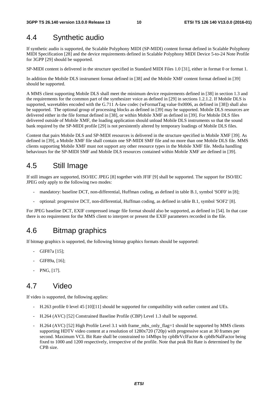### 4.4 Synthetic audio

If synthetic audio is supported, the Scalable Polyphony MIDI (SP-MIDI) content format defined in Scalable Polyphony MIDI Specification [28] and the device requirements defined in Scalable Polyphony MIDI Device 5-to-24 Note Profile for 3GPP [29] should be supported.

SP-MIDI content is delivered in the structure specified in Standard MIDI Files 1.0 [31], either in format 0 or format 1.

In addition the Mobile DLS instrument format defined in [38] and the Mobile XMF content format defined in [39] should be supported.

A MMS client supporting Mobile DLS shall meet the minimum device requirements defined in [38] in section 1.3 and the requirements for the common part of the synthesizer voice as defined in [29] in sections 1.2.1.2. If Mobile DLS is supported, wavetables encoded with the G.711 A-law codec (wFormatTag value 0x0006, as defined in [38]) shall also be supported. The optional group of processing blocks as defined in [39] may be supported. Mobile DLS resources are delivered either in the file format defined in [38], or within Mobile XMF as defined in [39]. For Mobile DLS files delivered outside of Mobile XMF, the loading application should unload Mobile DLS instruments so that the sound bank required by the SP-MIDI profile [29] is not persistently altered by temporary loadings of Mobile DLS files.

Content that pairs Mobile DLS and SP-MIDI resources is delivered in the structure specified in Mobile XMF [39]. As defined in [39], a Mobile XMF file shall contain one SP-MIDI SMF file and no more than one Mobile DLS file. MMS clients supporting Mobile XMF must not support any other resource types in the Mobile XMF file. Media handling behaviours for the SP-MIDI SMF and Mobile DLS resources contained within Mobile XMF are defined in [39].

### 4.5 Still Image

If still images are supported, ISO/IEC JPEG [8] together with JFIF [9] shall be supported. The support for ISO/IEC JPEG only apply to the following two modes:

- mandatory: baseline DCT, non-differential, Huffman coding, as defined in table B.1, symbol 'SOF0' in [8];
- optional: progressive DCT, non-differential, Huffman coding, as defined in table B.1, symbol 'SOF2' [8].

For JPEG baseline DCT, EXIF compressed image file format should also be supported, as defined in [54]. In that case there is no requirement for the MMS client to interpret or present the EXIF parameters recorded in the file.

### 4.6 Bitmap graphics

If bitmap graphics is supported, the following bitmap graphics formats should be supported:

- GIF87a [15];
- GIF89a, [16];
- PNG, [17].

#### 4.7 Video

If video is supported, the following applies:

- H.263 profile 0 level 45 [10][11] should be supported for compatibility with earlier content and UEs.
- H.264 (AVC) [52] Constrained Baseline Profile (CBP) Level 1.3 shall be supported.
- H.264 (AVC) [52] High Profile Level 3.1 with frame mbs only flag=1 should be supported by MMS clients supporting HDTV video content at a resolution of 1280x720 (720p) with progressive scan at 30 frames per second. Maximum VCL Bit Rate shall be constrained to 14Mbps by cpbBrVclFactor & cpbBrNalFactor being fixed to 1000 and 1200 respectively, irrespective of the profile. Note that peak Bit Rate is determined by the CPB size.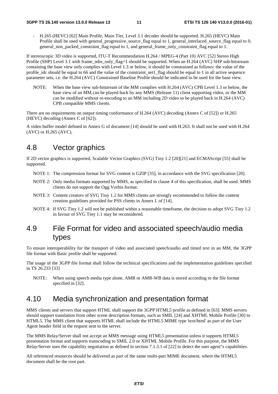- H.265 (HEVC) [62] Main Profile, Main Tier, Level 3.1 decoder should be supported. H.265 (HEVC) Main Profile shall be used with general\_progressive\_source\_flag equal to 1, general\_interlaced\_source\_flag equal to 0, general\_non\_packed\_constraint\_flag equal to 1, and general\_frame\_only\_constraint\_flag equal to 1.

If stereoscopic 3D video is supported, ITU-T Recommendation H.264 / MPEG-4 (Part 10) AVC [52] Stereo High Profile (SHP) Level 3.1 with frame\_mbs\_only\_flag=1 should be supported. When an H.264 (AVC) SHP sub-bitstream containing the base view only complies with Level 1.3 or below, it should be constrained as follows: the value of the profile idc should be equal to 66 and the value of the constraint set1 flag should be equal to 1 in all active sequence parameter sets, i.e. the H.264 (AVC) Constrained Baseline Profile should be indicated to be used for the base view.

NOTE: When the base view sub-bitstream of the MM complies with H.264 (AVC) CPB Level 1.3 or below, the base view of an MM can be played back by any MMS (Release 11) client supporting video, or the MM can be modified without re-encoding to an MM including 2D video to be played back in H.264 (AVC) CPB compatible MMS clients.

There are no requirements on output timing conformance of H.264 (AVC) decoding (Annex C of [52]) or H.265 (HEVC) decoding (Annex C of [62]).

A video buffer model defined in Annex G of document [14] should be used with H.263. It shall not be used with H.264 (AVC) or H.265 (AVC).

### 4.8 Vector graphics

If 2D vector graphics is supported, Scalable Vector Graphics (SVG) Tiny 1.2 [20][21] and ECMAScript [55] shall be supported.

- NOTE 1: The compression format for SVG content is GZIP [35], in accordance with the SVG specification [20].
- NOTE 2: Only media formats supported by MMS, as specified in clause 4 of this specification, shall be used. MMS clients do not support the Ogg Vorbis format.
- NOTE 3: Content creators of SVG Tiny 1.2 for MMS clients are strongly recommended to follow the content creation guidelines provided for PSS clients in Annex L of [14].
- NOTE 4: If SVG Tiny 1.2 will not be published within a reasonable timeframe, the decision to adopt SVG Tiny 1.2 in favour of SVG Tiny 1.1 may be reconsidered.

### 4.9 File Format for video and associated speech/audio media types

To ensure interoperability for the transport of video and associated speech/audio and timed text in an MM, the 3GPP file format with Basic profile shall be supported.

The usage of the 3GPP file format shall follow the technical specifications and the implementation guidelines specified in TS 26.233 [33]

NOTE: When using speech media type alone, AMR or AMR-WB data is stored according to the file format specified in [32].

### 4.10 Media synchronization and presentation format

MMS clients and servers that support HTML shall support the 3GPP HTML5 profile as defined in [63]. MMS servers should support translation from other scene description formats, such as SMIL [24] and XHTML Mobile Profile [30] to HTML5. The MMS client that supports HTML shall include the HTML5 MIME type 'text/html' as part of the User Agent header field in the request sent to the server.

The MMS Relay/Server shall not accept an MMS message using HTML5 presentation unless it supports HTML5 presentation format and supports transcoding to SMIL 2.0 or XHTML Mobile Profile. For this purpose, the MMS Relay/Server uses the capability negotiation as defined in section 7.1.3.1 of [22] to detect the user agent"s capabilities.

All referenced resources should be delivered as part of the same multi-part MIME document, where the HTML5 document shall be the root part.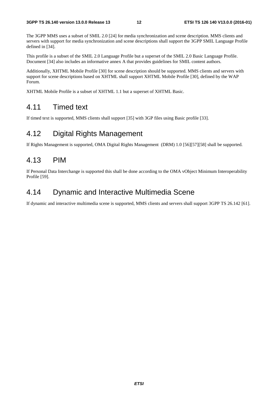The 3GPP MMS uses a subset of SMIL 2.0 [24] for media synchronization and scene description. MMS clients and servers with support for media synchronization and scene descriptions shall support the 3GPP SMIL Language Profile defined in [34].

This profile is a subset of the SMIL 2.0 Language Profile but a superset of the SMIL 2.0 Basic Language Profile. Document [34] also includes an informative annex A that provides guidelines for SMIL content authors.

Additionally, XHTML Mobile Profile [30] for scene description should be supported. MMS clients and servers with support for scene descriptions based on XHTML shall support XHTML Mobile Profile [30], defined by the WAP Forum.

XHTML Mobile Profile is a subset of XHTML 1.1 but a superset of XHTML Basic.

#### 4.11 Timed text

If timed text is supported, MMS clients shall support [35] with 3GP files using Basic profile [33].

#### 4.12 Digital Rights Management

If Rights Management is supported, OMA Digital Rights Management (DRM) 1.0 [56][57][58] shall be supported.

#### 4.13 PIM

If Personal Data Interchange is supported this shall be done according to the OMA vObject Minimum Interoperability Profile [59].

#### 4.14 Dynamic and Interactive Multimedia Scene

If dynamic and interactive multimedia scene is supported, MMS clients and servers shall support 3GPP TS 26.142 [61].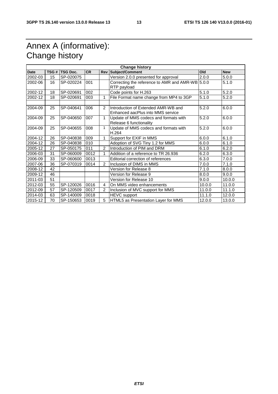# Annex A (informative): Change history

| <b>Change history</b> |    |                |           |                |                                                                          |        |            |
|-----------------------|----|----------------|-----------|----------------|--------------------------------------------------------------------------|--------|------------|
| <b>Date</b>           |    | TSG # TSG Doc. | <b>CR</b> |                | <b>Rev Subject/Comment</b>                                               | Old    | <b>New</b> |
| 2002-03               | 15 | SP-020075      |           |                | Version 2.0.0 presented for approval                                     | 2.0.0  | 5.0.0      |
| 2002-06               | 16 | SP-020224      | 001       |                | Correcting the reference to AMR and AMR-WB 5.0.0<br>RTP payload          |        | 5.1.0      |
| 2002-12               | 18 | SP-020691      | 002       |                | Code points for H.263                                                    | 5.1.0  | 5.2.0      |
| 2002-12               | 18 | SP-020691      | 003       | 1              | File Format name change from MP4 to 3GP                                  | 5.1.0  | 5.2.0      |
|                       |    |                |           |                |                                                                          |        |            |
| 2004-09               | 25 | SP-040641      | 006       | $\mathcal{P}$  | Introduction of Extended AMR-WB and<br>Enhanced aacPlus into MMS service | 5.2.0  | 6.0.0      |
| 2004-09               | 25 | SP-040650      | 007       | 1              | Update of MMS codecs and formats with<br>Release 6 functionality         | 5.2.0  | 6.0.0      |
| 2004-09               | 25 | SP-040655      | 008       | $\mathbf{1}$   | Update of MMS codecs and formats with<br>H.264                           | 5.2.0  | 6.0.0      |
| 2004-12               | 26 | SP-040838      | 009       | 1              | Support for EXIF in MMS                                                  | 6.0.0  | 6.1.0      |
| 2004-12               | 26 | SP-040838      | 010       |                | Adoption of SVG Tiny 1.2 for MMS                                         | 6.0.0  | 6.1.0      |
| 2005-12               | 27 | SP-050175      | 011       | $\mathfrak{p}$ | Introduction of PIM and DRM                                              | 6.1.0  | 6.2.0      |
| 2006-03               | 31 | SP-060009      | 0012      | 1              | Addition of a reference to TR 26.936                                     | 6.2.0  | 6.3.0      |
| 2006-09               | 33 | SP-060600      | 0013      |                | Editorial correction of references                                       | 6.3.0  | 7.0.0      |
| 2007-06               | 36 | SP-070319      | 0014      | $\mathcal{P}$  | Inclusion of DIMS in MMS                                                 | 7.0.0  | 7.1.0      |
| 2008-12               | 42 |                |           |                | Version for Release 8                                                    | 7.1.0  | 8.0.0      |
| 2009-12               | 46 |                |           |                | Version for Release 9                                                    | 8.0.0  | 9.0.0      |
| 2011-03               | 51 |                |           |                | Version for Release 10                                                   | 9.0.0  | 10.0.0     |
| 2012-03               | 55 | SP-120026      | 0016      | 4              | On MMS video enhancements                                                | 10.0.0 | 11.0.0     |
| 2012-09               | 57 | SP-120509      | 0017      | $\overline{2}$ | Inclusion of MVC support for MMS                                         | 11.0.0 | 11.1.0     |
| 2014-03               | 63 | SP-140009      | 0018      |                | HEVC support                                                             | 11.1.0 | 12.0.0     |
| 2015-12               | 70 | SP-150653      | 0019      | 5              | HTML5 as Presentation Layer for MMS                                      | 12.0.0 | 13.0.0     |